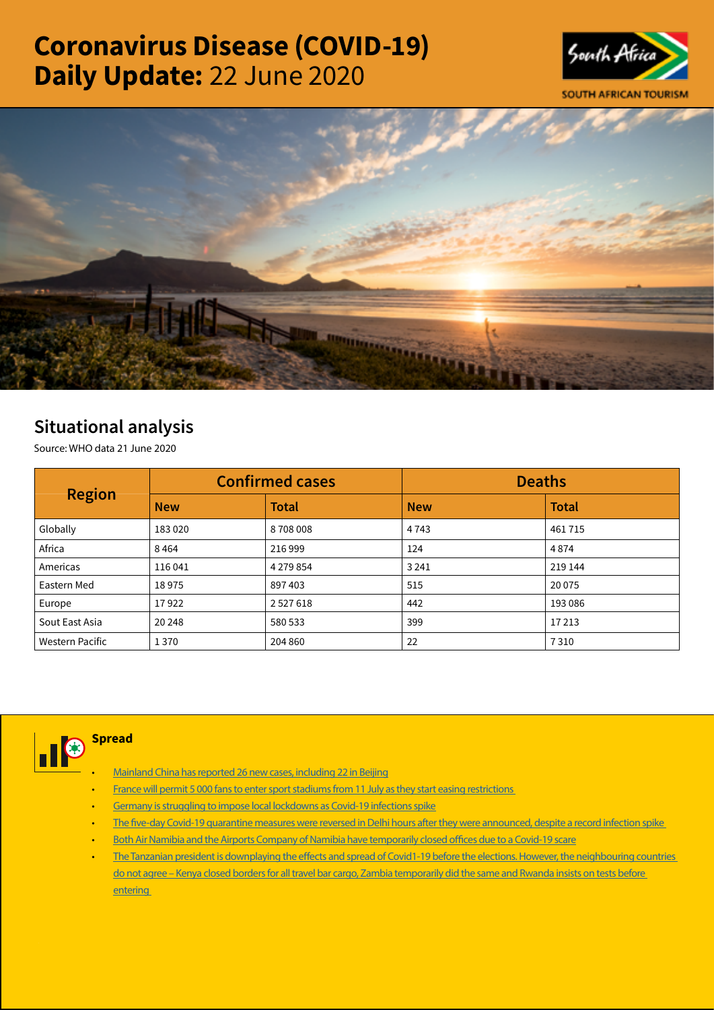# Coronavirus Disease (COVID-19) Daily Update: 22 June 2020





# Situational analysis

Source: WHO data 21 June 2020

| <b>Region</b>   |            | <b>Confirmed cases</b> | <b>Deaths</b> |              |  |
|-----------------|------------|------------------------|---------------|--------------|--|
|                 | <b>New</b> | <b>Total</b>           | <b>New</b>    | <b>Total</b> |  |
| Globally        | 183020     | 8708008                | 4743          | 461715       |  |
| Africa          | 8464       | 216999                 | 124           | 4874         |  |
| Americas        | 116041     | 4 2 7 9 8 5 4          | 3 2 4 1       | 219 144      |  |
| Eastern Med     | 18975      | 897403                 | 515           | 20 0 75      |  |
| Europe          | 17922      | 2527618                | 442           | 193 086      |  |
| Sout East Asia  | 20 248     | 580 533                | 399           | 17213        |  |
| Western Pacific | 1370       | 204 860                | 22            | 7310         |  |



**Spread** 

- [Mainland China has reported 26 new cases, including 22 in Beijing](https://t.co/9Ceu4OnL23?amp=1)
- [France will permit 5 000 fans to enter sport stadiums from 11 July as they start easing restrictions](https://t.co/maGbgsmmok?amp=1)
- [Germany is struggling to impose local lockdowns as Covid-19 infections spike](https://t.co/pvPBv9sd5m?amp=1)
- [The five-day Covid-19 quarantine measures were reversed in Delhi hours after they were announced, despite a record infection spike](https://t.co/GvT4yOJCXT?amp=1)
- [Both Air Namibia and the Airports Company of Namibia have temporarily closed offices due to a Covid-19 scare](https://t.co/1SYmvlfWRS?amp=1)
- [The Tanzanian president is downplaying the effects and spread of Covid1-19 before the elections. However, the neighbouring countries](https://is.gd/jY17FN)  [do not agree – Kenya closed borders for all travel bar cargo, Zambia temporarily did the same and Rwanda insists on tests before](https://is.gd/jY17FN)  **entering**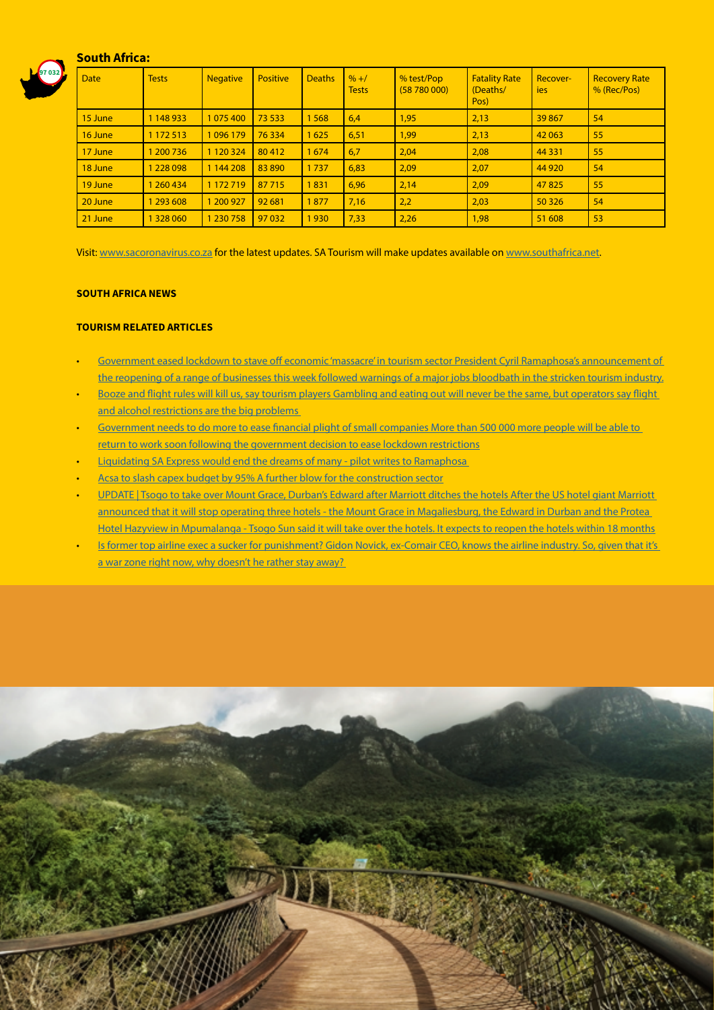# South Africa:



| <b>Date</b> | <b>Tests</b>  | <b>Negative</b> | <b>Positive</b> | <b>Deaths</b> | $\frac{9}{6}$ +/<br><b>Tests</b> | % test/Pop<br>(58780000) | <b>Fatality Rate</b><br>(Deaths/<br>Pos) | Recover-<br>ies | <b>Recovery Rate</b><br>% (Rec/Pos) |
|-------------|---------------|-----------------|-----------------|---------------|----------------------------------|--------------------------|------------------------------------------|-----------------|-------------------------------------|
| 15 June     | 1 148 933     | 1 075 400       | 73 533          | 1568          | 6,4                              | 1,95                     | 2,13                                     | 39867           | 54                                  |
| 16 June     | 1 172 513     | 1 0 9 6 1 7 9   | 76334           | 1625          | 6,51                             | 1,99                     | 2,13                                     | 42 063          | 55                                  |
| 17 June     | 1 200 7 36    | 1 1 2 0 3 2 4   | 80412           | 1674          | 6,7                              | 2,04                     | 2,08                                     | 44 3 31         | 55                                  |
| 18 June     | 1 2 2 8 0 9 8 | 1 144 208       | 83890           | 1737          | 6,83                             | 2,09                     | 2,07                                     | 44 9 20         | 54                                  |
| 19 June     | 1 260 434     | 1 172 719       | 87 715          | 1831          | 6.96                             | 2,14                     | 2,09                                     | 47825           | 55                                  |
| 20 June     | 1 293 608     | 200 927         | 92 681          | 1877          | 7,16                             | 2,2                      | 2,03                                     | 50 3 26         | 54                                  |
| 21 June     | 1 3 2 8 0 6 0 | 230 758         | 97 032          | 1930          | 7,33                             | 2,26                     | 1,98                                     | 51 608          | 53                                  |

Visit: [www.sacoronavirus.co.za](http://www.sacoronavirus.co.za) for the latest updates. SA Tourism will make updates available on [www.southafrica.net.](http://www.southafrica.net)

#### SOUTH AFRICA NEWS

# TOURISM RELATED ARTICLES

- Government eased lockdown to stave off economic 'massacre' in tourism sector President Cyril Ramaphosa's announcement of [the reopening of a range of businesses this week followed warnings of a major jobs bloodbath in the stricken tourism industry.](https://www.timeslive.co.za/sunday-times/news/2020-06-21-covid-19-lockdown-massacre-fears-led-to-reopening/)
- Booze and flight rules will kill us, say tourism players Gambling and eating out will never be the same, but operators say flight and alcohol restrictions are the big problems
- [Government needs to do more to ease financial plight of small companies More than 500 000 more people will be able to](https://www.iol.co.za/business-report/economy/government-needs-to-do-more-to-ease-financial-plight-of-small-companies-49662916)  [return to work soon following the government decision to ease lockdown restrictions](https://www.iol.co.za/business-report/economy/government-needs-to-do-more-to-ease-financial-plight-of-small-companies-49662916)
- [Liquidating SA Express would end the dreams of many pilot writes to Ramaphosa](https://www.iol.co.za/business-report/economy/government-needs-to-do-more-to-ease-financial-plight-of-small-companies-49662916)
- [Acsa to slash capex budget by 95% A further blow for the construction sector](https://www.moneyweb.co.za/news/companies-and-deals/acsa-to-slash-capex-budget-by-95/)
- [UPDATE | Tsogo to take over Mount Grace, Durban's Edward after Marriott ditches the hotels After the US hotel giant Marriott](https://www.businessinsider.co.za/marriott-withdraws-from-three-hotels-2020-6)  [announced that it will stop operating three hotels - the Mount Grace in Magaliesburg, the Edward in Durban and the Protea](https://www.businessinsider.co.za/marriott-withdraws-from-three-hotels-2020-6)  [Hotel Hazyview in Mpumalanga - Tsogo Sun said it will take over the hotels. It expects to reopen the hotels within 18 months](https://www.businessinsider.co.za/marriott-withdraws-from-three-hotels-2020-6)
- [Is former top airline exec a sucker for punishment? Gidon Novick, ex-Comair CEO, knows the airline industry. So, given that it's](https://www.thesouthafrican.com/travel/is-former-top-airline-exec-a-sucker-for-punishment/)  a war zone right now, why doesn't he rather stay away?